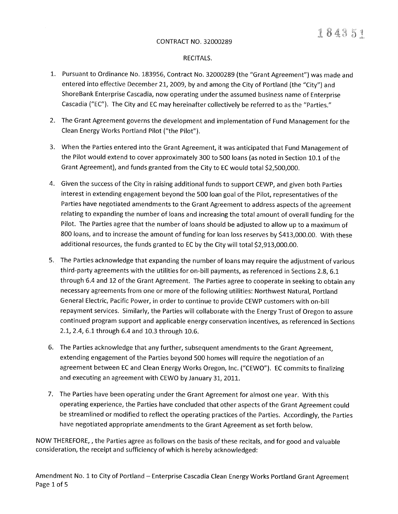## RECITALS.

- 1. Pursuant to Ordinance No. 183956, Contract No. 32000289 (the "Grant Agreement") was made and entered into effective December 21, 2009, by and among the City of Portland (the "City") and ShoreBank Enterprise Cascadia, now operating under the assumed busíness name of Enterprise Cascadia ("EC"). The City and EC may hereinafter collectively be referred to as the "Parties."
- 2. The Grant Agreement governs the development and implementation of Fund Management for the Clean Energy Works Portland Pilot ("the Pilot").
- 3. When the Parties entered into the Grant Agreement, it was anticipated that Fund Management of the Pilot would extend to cover approximately 300 to 500 loans (as noted in Section 10.1 of the Grant Agreement), and funds granted from the City to EC would total 52,500,000.
- 4. Given the success of the City in raising additional funds to support CEWP, and given both Parties interest in extending engagement beyond the 500 loan goal of the Pilot, representatives of the Parties have negotiated amendments to the Grant Agreement to address aspects of the agreement relating to expanding the number of loans and increasing the total amount of overall funding for the Pilot. The Parties agree that the number of loans should be adjusted to allow up to a maximum of 800 loans, and to increase the amount of funding for loan loss reserves by \$413,000.00. With these additional resources, the funds granted to EC by the City will total \$2,9t3,000.00.
- 5. The Parties acknowledge that expanding the number of loans may require the adjustment of various third-party agreements with the utilities for on-bill payments, as referenced in Sections 2.8, 6,1 through 6.4 and 12 of the Grant Agreement. The Parties agree to cooperate in seeking to obtain any necessary agreements from one or more of the following utilities: Northwest Natural, Portland General Electric, Pacific Power, in order to continue to provide CEWP customers with on-bill repayment services. Similarly, the Parties will collaborate with the Energy Trust of Oregon to assure continued program support and applicable energy conservation íncentives, as referenced in Sections 2.L,2.4,6.1through 6.4 and 10,3 through 10.6.
- 6. The Parties acknowledge that any further, subsequent amendments to the Grant Agreement, extending engagement of the Parties beyond 500 homes will require the negotiation of an agreement between EC and Clean Energy Works Oregon, lnc. ("CEWO"). EC commits to finalizing and executing an agreement with CEWO by January 31, 2011.
- 7. The Parties have been operating under the Grant Agreement for almost one year. With this operating experience, the Parties have concluded that other aspects of the Grant Agreement could be streamlined or modified to reflect the operating practices of the Parties. Accordingly, the Parties have negotiated appropriate amendments to the Grant Agreement as set forth below.

NOW THEREFORE, , the Parties agree as follows on the basis of these recitals, and forgood and valuable consideration, the receipt and sufficiency of which is hereby acknowledged: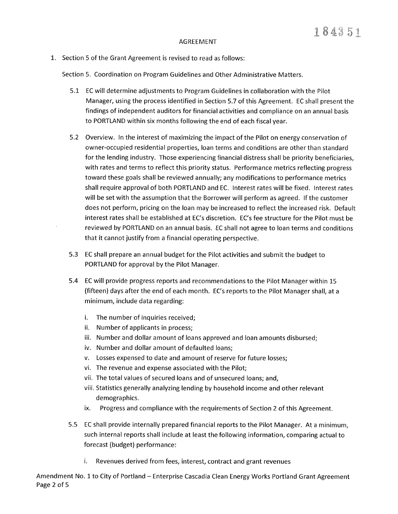## AGREEMENT

1. Section 5 of the Grant Agreement is revised to read as follows:

Section 5. Coordination on Program Guidelines and Other Administrative Matters.

- 5.1 EC will determine adjustments to Program Guidelines in collaboration with the Pilot Manager, using the process identified in Section 5.7 of this Agreement. EC shall present the findings of independent auditors for financial activities and compliance on an annual basis to PORTLAND within six months following the end of each fiscal year.
- 5.2 Overview. In the interest of maximizing the impact of the Pilot on energy conservation of owner-occupied residential properties, loan terms and conditions are other than standard for the lending industry. Those experiencing financial distress shall be priority beneficiaries, with rates and terms to reflect this priority status, Performance metrics reflecting progress toward these goals shall be reviewed annually; any modifications to performance metrics shall require approval of both PORTLAND and EC. lnterest rates will be fixed. lnterest rates will be set with the assumption that the Borrower will perform as agreed. lf the customer does not perform, pricing on the loan may be increased to reflect the increased risk. Default interest rates shall be established at EC's discretion. EC's fee structure for the Pilot must be reviewed by PORTLAND on an annual basis. EC shall not agree to loan terms and conditions that it cannot justify from a financial operating perspective.
- 5.3 EC shall prepare an annual budget for the Pilot activities and submit the budget to PORTLAND for approval by the Pilot Manager.
- 5.4 EC will provide progress reports and recommendations to the Pilot Manager within L5 (fifteen) days after the end of each month. EC's reports to the Pilot Manager shall, at a minimum, include data regarding:
	- i. The number of inquiries received;
	- ii. Number of applicants in process;
	- iii. Number and dollar amount of loans approved and loan amounts disbursed;
	- iv. Number and dollar amount of defaulted loans;
	- v. Losses expensed to date and amount of reserve for future losses;
	- vi. The revenue and expense associated with the Pilot;
	- vii. The total values of secured loans and of unsecured loans; and,
	- viii. Statistics generally analyzing lending by household income and other relevant demographics.
	- ix. Progress and compliance with the requirements of Section 2 of this Agreement.
- 5.5 EC shall provide internally prepared financial reports to the Pilot Manager. At a minimum, such internal reports shall include at least the following information, comparing actual to forecast (budget) performance:
	- i. Revenues derived from fees, interest, contract and grant revenues

Amendment No. 1 to City of Portland – Enterprise Cascadia Clean Energy Works Portland Grant Agreement Page 2 of 5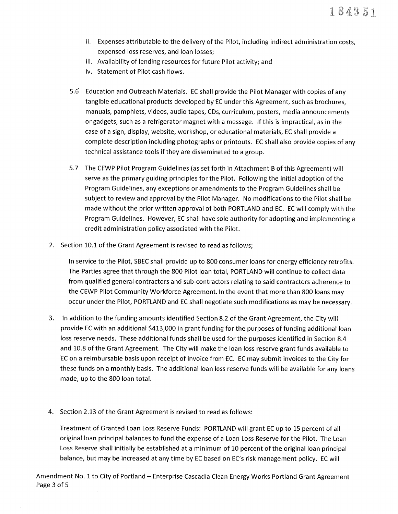- ii. Expenses attributable to the delivery of the Pilot, including indirect administration costs, expensed loss reserves, and loan losses;
- iii. Availability of lending resources for future Pilot activity; and
- iv. Statement of Pilot cash flows.
- 5.6 Education and Outreach Materials. EC shall provide the Pilot Manager with copies of any tangible educational products developed by ËC under this Agreement, such as brochures, manuals, pamphlets, videos, audio tapes, CDs, curriculum, posters, media announcements orgadgets, such as a refrigerator magnet with a message. lf this is impractical, as in the case of a sign, display, website, workshop, oreducational materials, EC shall provide a complete description including photographs or printouts. EC shall also provide copies of any technical assistance tools if they are disseminated to a group.
- 5.7 The CEWP Pilot Program Guidelines (as set forth in Attachment B of this Agreement) will serve as the primaryguiding principles for the Pilot. Following the initial adoption of the Program Guidelines, any exceptions or amendments to the Program Guidelines shall be subject to review and approval by the Pilot Manager. No modifications to the Pilot shall be made without the prior written approval of both PORTLAND and EC. EC will comply with the Program Guidelines. However, EC shall have sole authority for adopting and implementing a credit administration policy associated with the Pilot.
- 2. Section 10.1 of the Grant Agreement is revised to read as follows;

In service to the Pilot, SBEC shall provide up to 800 consumer loans for energy efficiency retrofits. The Parties agree that through the 800 Pilot loan total, PORTLAND will continue to collect data from qualified general contractors and sub-contractors relating to said contractors adherence to the CEWP Pilot Community Workforce Agreement. ln the event that more than 800 loans may occur under the Pilot, PORTLAND and EC shall negotiate such modifications as may be necessary.

- 3. ln addition to the funding amounts identified Section 8.2 of the Grant Agreement, the City will provide EC with an additional 5413,000 in grant funding for the purposes of funding additional loan loss reserve needs. These additional funds shall be used for the purposes identified in Section 8.4 and 10.8 of the Grant Agreement. The City will make the loan loss reserve grant funds available to EC on a reimbursable basis upon receipt of invoice from EC. EC may submit invoices to the City for these funds on a monthly basis. The additional loan loss reserve funds will be available for any loans made, up to the 800 loan total.
- 4. Section 2.13 of the Grant Agreement is revised to read as follows:

Treatment of Granted Loan Loss Reserve Funds: PORTLAND will grant EC up to 15 percent of all original loan principal balances to fund the expense of a Loan Loss Reserve for the Pilot. The Loan Loss Reserve shall initially be established at a minimum of 10 percent of the original loan principal balance, but may be increased at any time by EC based on EC's risk management policy. EC will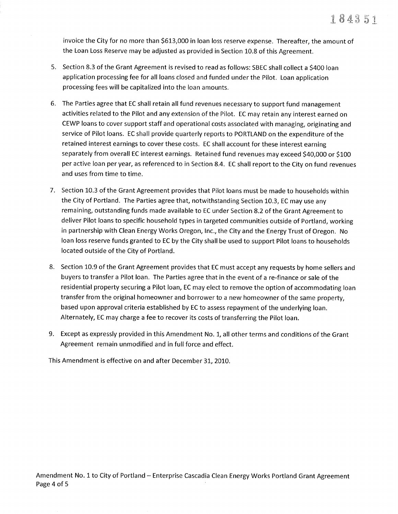invoice the City for no more than 5613,000 in loan loss reserve expense. Thereafter, the amount of the Loan Loss Reserve may be adjusted as provided in Section 10.8 of this Agreement.

- 5. Section 8.3 of the Grant Agreement is revised to read as follows: SBEC shall collect a \$+OO loan application processing fee for all loans closed and funded under the Pilot. Loan application processing fees will be capitalized into the loan amounts.
- 6. The Parties agree that EC shall retain all fund revenues necessary to support fund management activities related to the Pilot and any extension of the Pilot. EC may retain any interest earned on CEWP loans to cover support staff and operational costs associated with managing, originating and service of Pilot loans. EC shall provide quarterly reports to PORTLAND on the expenditure of the retained interest earnings to cover these costs. EC shall account for these interest earning separately from overall EC interest earnings. Retained fund revenues may exceed \$40,000 or \$100 per active loan per year, as referenced to in Section 8.4. EC shall report to the City on fund revenues and uses from time to time.
- 7. Section 10.3 of the Grant Agreement provides that Pilot loans must be made to households within the City of Portland. The Parties agree that, notwithstanding Section 10.3, EC may use any remaining, outstanding funds made available to EC under Section 8.2 of the Grant Agreement to deliver Pilot loans to specific household types in targeted communities outside of Portland, working in partnership with Clean Energy Works Oregon, lnc., the City and the Energy Trust of Oregon. No loan loss reserve funds granted to EC by the City shall be used to support Pilot loans to households located outside of the City of Portland.
- 8. Section 10.9 of the Grant Agreement provides that EC must accept any requests by home sellers and buyers to transfer a Pilot loan. The Parties agree that in the event of a re-finance or sale of the residential property securing a Pilot loan, EC may elect to remove the option of accommodating loan transfer from the original homeowner and borrower to a new homeowner of the same property, based upon approval criteria established by EC to assess repayment of the underlying loan. Alternately, EC may charge a fee to recover its costs of transferring the Pilot loan.
- 9. Except as expressly provided in this Amendment No. 1, all other terms and conditions of the Grant Agreement remain unmodified and in full force and effect.

This Amendment is effective on and after December 31, 2010.